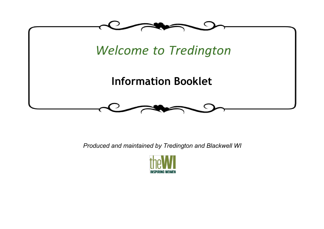

*Produced and maintained by Tredington and Blackwell WI* 

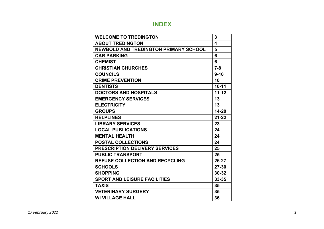## **INDEX**

| <b>WELCOME TO TREDINGTON</b>                 | 3         |
|----------------------------------------------|-----------|
| <b>ABOUT TREDINGTON</b>                      | 4         |
| <b>NEWBOLD AND TREDINGTON PRIMARY SCHOOL</b> | 5         |
| <b>CAR PARKING</b>                           | 6         |
| <b>CHEMIST</b>                               | 6         |
| <b>CHRISTIAN CHURCHES</b>                    | $7 - 8$   |
| <b>COUNCILS</b>                              | $9 - 10$  |
| <b>CRIME PREVENTION</b>                      | 10        |
| <b>DENTISTS</b>                              | $10 - 11$ |
| <b>DOCTORS AND HOSPITALS</b>                 | $11 - 12$ |
| <b>EMERGENCY SERVICES</b>                    | 13        |
| <b>ELECTRICITY</b>                           | 13        |
| <b>GROUPS</b>                                | 14-20     |
| <b>HELPLINES</b>                             | $21 - 22$ |
| <b>LIBRARY SERVICES</b>                      | 23        |
| <b>LOCAL PUBLICATIONS</b>                    | 24        |
| <b>MENTAL HEALTH</b>                         | 24        |
| <b>POSTAL COLLECTIONS</b>                    | 24        |
| <b>PRESCRIPTION DELIVERY SERVICES</b>        | 25        |
| <b>PUBLIC TRANSPORT</b>                      | 25        |
| <b>REFUSE COLLECTION AND RECYCLING</b>       | 26-27     |
| <b>SCHOOLS</b>                               | $27 - 30$ |
| <b>SHOPPING</b>                              | 30-32     |
| <b>SPORT AND LEISURE FACILITIES</b>          | 33-35     |
| <b>TAXIS</b>                                 | 35        |
| <b>VETERINARY SURGERY</b>                    | 35        |
| <b>WI VILLAGE HALL</b>                       | 36        |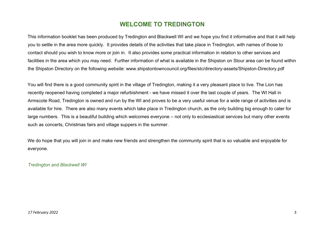## **WELCOME TO TREDINGTON**

This information booklet has been produced by Tredington and Blackwell WI and we hope you find it informative and that it will help you to settle in the area more quickly. It provides details of the activities that take place in Tredington, with names of those to contact should you wish to know more or join in. It also provides some practical information in relation to other services and facilities in the area which you may need. Further information of what is available in the Shipston on Stour area can be found within the Shipston Directory on the following website: www.shipstontowncouncil.org/files/stc/directory-assets/Shipston-Directory.pdf

You will find there is a good community spirit in the village of Tredington, making it a very pleasant place to live. The Lion has recently reopened having completed a major refurbishment - we have missed it over the last couple of years. The WI Hall in Armscote Road, Tredington is owned and run by the WI and proves to be a very useful venue for a wide range of activities and is available for hire. There are also many events which take place in Tredington church, as the only building big enough to cater for large numbers. This is a beautiful building which welcomes everyone – not only to ecclesiastical services but many other events such as concerts, Christmas fairs and village suppers in the summer.

We do hope that you will join in and make new friends and strengthen the community spirit that is so valuable and enjoyable for everyone.

*Tredington and Blackwell WI*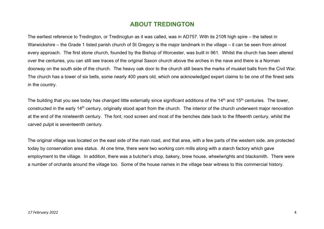## **ABOUT TREDINGTON**

The earliest reference to Tredington, or Tredincgtun as it was called, was in AD757. With its 210ft high spire – the tallest in Warwickshire – the Grade 1 listed parish church of St Gregory is the major landmark in the village – it can be seen from almost every approach. The first stone church, founded by the Bishop of Worcester, was built in 961. Whilst the church has been altered over the centuries, you can still see traces of the original Saxon church above the arches in the nave and there is a Norman doorway on the south side of the church. The heavy oak door to the church still bears the marks of musket balls from the Civil War. The church has a tower of six bells, some nearly 400 years old, which one acknowledged expert claims to be one of the finest sets in the country.

The building that you see today has changed little externally since significant additions of the 14<sup>th</sup> and 15<sup>th</sup> centuries. The tower, constructed in the early 14<sup>th</sup> century, originally stood apart from the church. The interior of the church underwent major renovation at the end of the nineteenth century. The font, rood screen and most of the benches date back to the fifteenth century, whilst the carved pulpit is seventeenth century.

The original village was located on the east side of the main road, and that area, with a few parts of the western side, are protected today by conservation area status. At one time, there were two working corn mills along with a starch factory which gave employment to the village. In addition, there was a butcher's shop, bakery, brew house, wheelwrights and blacksmith. There were a number of orchards around the village too. Some of the house names in the village bear witness to this commercial history.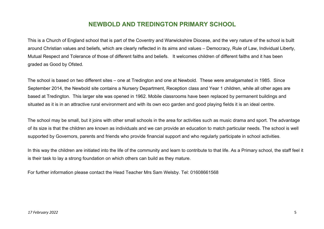## **NEWBOLD AND TREDINGTON PRIMARY SCHOOL**

This is a Church of England school that is part of the Coventry and Warwickshire Diocese, and the very nature of the school is built around Christian values and beliefs, which are clearly reflected in its aims and values – Democracy, Rule of Law, Individual Liberty, Mutual Respect and Tolerance of those of different faiths and beliefs. It welcomes children of different faiths and it has been graded as Good by Ofsted.

The school is based on two different sites – one at Tredington and one at Newbold. These were amalgamated in 1985. Since September 2014, the Newbold site contains a Nursery Department, Reception class and Year 1 children, while all other ages are based at Tredington. This larger site was opened in 1962. Mobile classrooms have been replaced by permanent buildings and situated as it is in an attractive rural environment and with its own eco garden and good playing fields it is an ideal centre.

The school may be small, but it joins with other small schools in the area for activities such as music drama and sport. The advantage of its size is that the children are known as individuals and we can provide an education to match particular needs. The school is well supported by Governors, parents and friends who provide financial support and who regularly participate in school activities.

In this way the children are initiated into the life of the community and learn to contribute to that life. As a Primary school, the staff feel it is their task to lay a strong foundation on which others can build as they mature.

For further information please contact the Head Teacher Mrs Sam Welsby. Tel: 01608661568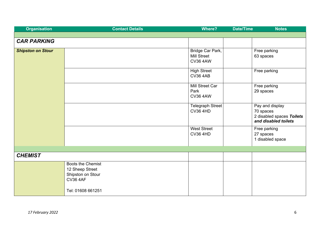| <b>Organisation</b>      | <b>Contact Details</b>                                                                            | <b>Where?</b>                                             | <b>Date/Time</b><br><b>Notes</b>                                                  |
|--------------------------|---------------------------------------------------------------------------------------------------|-----------------------------------------------------------|-----------------------------------------------------------------------------------|
|                          |                                                                                                   |                                                           |                                                                                   |
| <b>CAR PARKING</b>       |                                                                                                   |                                                           |                                                                                   |
| <b>Shipston on Stour</b> |                                                                                                   | Bridge Car Park,<br><b>Mill Street</b><br><b>CV36 4AW</b> | Free parking<br>63 spaces                                                         |
|                          |                                                                                                   | <b>High Street</b><br><b>CV36 4AB</b>                     | Free parking                                                                      |
|                          |                                                                                                   | Mill Street Car<br>Park<br><b>CV36 4AW</b>                | Free parking<br>29 spaces                                                         |
|                          |                                                                                                   | Telegraph Street<br><b>CV36 4HD</b>                       | Pay and display<br>70 spaces<br>2 disabled spaces Toilets<br>and disabled toilets |
|                          |                                                                                                   | <b>West Street</b><br><b>CV36 4HD</b>                     | Free parking<br>27 spaces<br>1 disabled space                                     |
|                          |                                                                                                   |                                                           |                                                                                   |
| <b>CHEMIST</b>           |                                                                                                   |                                                           |                                                                                   |
|                          | Boots the Chemist<br>12 Sheep Street<br>Shipston on Stour<br><b>CV36 4AF</b><br>Tel: 01608 661251 |                                                           |                                                                                   |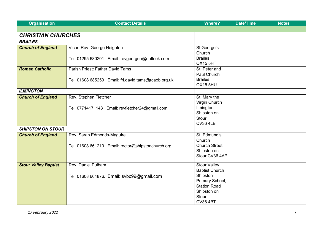| <b>Organisation</b>         | <b>Contact Details</b>                               | <b>Where?</b>                 | <b>Date/Time</b> | <b>Notes</b> |
|-----------------------------|------------------------------------------------------|-------------------------------|------------------|--------------|
|                             |                                                      |                               |                  |              |
| <b>CHRISTIAN CHURCHES</b>   |                                                      |                               |                  |              |
| <b>BRAILES</b>              |                                                      |                               |                  |              |
| <b>Church of England</b>    | Vicar: Rev. George Heighton                          | St George's                   |                  |              |
|                             |                                                      | Church                        |                  |              |
|                             | Tel: 01295 680201 Email: revgeorgeh@outlook.com      | <b>Brailes</b>                |                  |              |
|                             |                                                      | <b>OX15 5HT</b>               |                  |              |
| <b>Roman Catholic</b>       | Parish Priest: Father David Tams                     | St. Peter and                 |                  |              |
|                             |                                                      | Paul Church                   |                  |              |
|                             | Tel: 01608 685259 Email: fri.david.tams@rcaob.org.uk | <b>Brailes</b>                |                  |              |
|                             |                                                      | OX15 5HU                      |                  |              |
| <b>ILMINGTON</b>            |                                                      |                               |                  |              |
| <b>Church of England</b>    | Rev. Stephen Fletcher                                | St. Mary the                  |                  |              |
|                             |                                                      | Virgin Church                 |                  |              |
|                             | Tel: 07714171143 Email: revfletcher24@gmail.com      | Ilmington                     |                  |              |
|                             |                                                      | Shipston on                   |                  |              |
|                             |                                                      | Stour                         |                  |              |
|                             |                                                      | <b>CV36 4LB</b>               |                  |              |
| <b>SHIPSTON ON STOUR</b>    |                                                      |                               |                  |              |
| <b>Church of England</b>    | Rev. Sarah Edmonds-Maguire                           | St. Edmund's                  |                  |              |
|                             |                                                      | Church                        |                  |              |
|                             | Tel: 01608 661210 Email: rector@shipstonchurch.org   | <b>Church Street</b>          |                  |              |
|                             |                                                      | Shipston on<br>Stour CV36 4AP |                  |              |
|                             |                                                      |                               |                  |              |
| <b>Stour Valley Baptist</b> | Rev. Daniel Pulham                                   | <b>Stour Valley</b>           |                  |              |
|                             |                                                      | <b>Baptist Church</b>         |                  |              |
|                             | Tel: 01608 664876. Email: svbc99@gmail.com           | Shipston                      |                  |              |
|                             |                                                      | Primary School,               |                  |              |
|                             |                                                      | <b>Station Road</b>           |                  |              |
|                             |                                                      | Shipston on                   |                  |              |
|                             |                                                      | Stour                         |                  |              |
|                             |                                                      | <b>CV36 4BT</b>               |                  |              |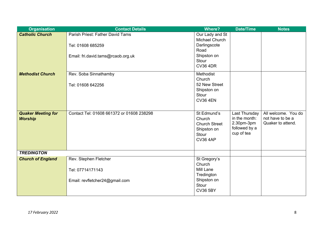| <b>Organisation</b>                         | <b>Contact Details</b>                                | <b>Where?</b>                                                                            | <b>Date/Time</b>                                                            | <b>Notes</b>                                                 |
|---------------------------------------------|-------------------------------------------------------|------------------------------------------------------------------------------------------|-----------------------------------------------------------------------------|--------------------------------------------------------------|
| <b>Catholic Church</b>                      | Parish Priest: Father David Tams<br>Tel: 01608 685259 | Our Lady and St<br>Michael Church<br>Darlingscote                                        |                                                                             |                                                              |
|                                             | Email: fri.david.tams@rcaob.org.uk                    | Road<br>Shipston on<br>Stour<br><b>CV36 4DR</b>                                          |                                                                             |                                                              |
| <b>Methodist Church</b>                     | Rev. Soba Sinnathamby<br>Tel: 01608 642256            | Methodist<br>Church<br>52 New Street<br>Shipston on<br>Stour<br><b>CV36 4EN</b>          |                                                                             |                                                              |
| <b>Quaker Meeting for</b><br><b>Worship</b> | Contact Tel: 01608 661372 or 01608 238298             | St Edmund's<br>Church<br><b>Church Street</b><br>Shipston on<br>Stour<br><b>CV36 4AP</b> | Last Thursday<br>in the month:<br>2.30pm-3pm<br>followed by a<br>cup of tea | All welcome. You do<br>not have to be a<br>Quaker to attend. |
| <b>TREDINGTON</b>                           |                                                       |                                                                                          |                                                                             |                                                              |
| <b>Church of England</b>                    | Rev. Stephen Fletcher<br>Tel: 07714171143             | St Gregory's<br>Church<br>Mill Lane<br>Tredington                                        |                                                                             |                                                              |
|                                             | Email: revfletcher24@gmail.com                        | Shipston on<br>Stour<br><b>CV36 5BY</b>                                                  |                                                                             |                                                              |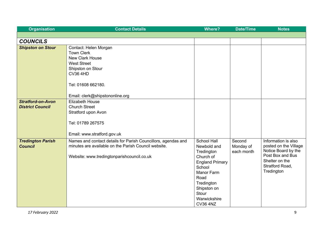| <b>Organisation</b>                                 | <b>Contact Details</b>                                                                                                                                                                      | <b>Where?</b>                                                                                                                                                                                          | <b>Date/Time</b>                  | <b>Notes</b>                                                                                                                               |
|-----------------------------------------------------|---------------------------------------------------------------------------------------------------------------------------------------------------------------------------------------------|--------------------------------------------------------------------------------------------------------------------------------------------------------------------------------------------------------|-----------------------------------|--------------------------------------------------------------------------------------------------------------------------------------------|
|                                                     |                                                                                                                                                                                             |                                                                                                                                                                                                        |                                   |                                                                                                                                            |
| <b>COUNCILS</b>                                     |                                                                                                                                                                                             |                                                                                                                                                                                                        |                                   |                                                                                                                                            |
| <b>Shipston on Stour</b>                            | Contact: Helen Morgan<br><b>Town Clerk</b><br><b>New Clark House</b><br><b>West Street</b><br>Shipston on Stour<br><b>CV36 4HD</b><br>Tel: 01608 662180.<br>Email: clerk@shipstononline.org |                                                                                                                                                                                                        |                                   |                                                                                                                                            |
| <b>Stratford-on-Avon</b><br><b>District Council</b> | <b>Elizabeth House</b><br><b>Church Street</b><br>Stratford upon Avon<br>Tel: 01789 267575<br>Email: www.stratford.gov.uk                                                                   |                                                                                                                                                                                                        |                                   |                                                                                                                                            |
| <b>Tredington Parish</b><br><b>Council</b>          | Names and contact details for Parish Councillors, agendas and<br>minutes are available on the Parish Council website.<br>Website: www.tredingtonparishcouncil.co.uk                         | <b>School Hall</b><br>Newbold and<br>Tredington<br>Church of<br><b>England Primary</b><br>School<br><b>Manor Farm</b><br>Road<br>Tredington<br>Shipston on<br>Stour<br>Warwickshire<br><b>CV36 4NZ</b> | Second<br>Monday of<br>each month | Information is also<br>posted on the Village<br>Notice Board by the<br>Post Box and Bus<br>Shelter on the<br>Stratford Road,<br>Tredington |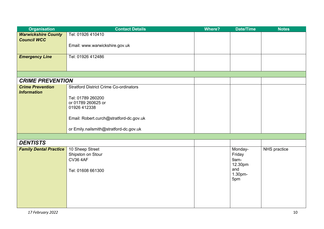| <b>Organisation</b>           | <b>Contact Details</b>                        | <b>Where?</b> | <b>Date/Time</b> | <b>Notes</b> |
|-------------------------------|-----------------------------------------------|---------------|------------------|--------------|
| <b>Warwickshire County</b>    | Tel: 01926 410410                             |               |                  |              |
| <b>Council WCC</b>            |                                               |               |                  |              |
|                               | Email: www.warwickshire.gov.uk                |               |                  |              |
| <b>Emergency Line</b>         | Tel: 01926 412486                             |               |                  |              |
|                               |                                               |               |                  |              |
|                               |                                               |               |                  |              |
|                               |                                               |               |                  |              |
| <b>CRIME PREVENTION</b>       |                                               |               |                  |              |
| <b>Crime Prevention</b>       | <b>Stratford District Crime Co-ordinators</b> |               |                  |              |
| <b>Information</b>            |                                               |               |                  |              |
|                               | Tel: 01789 260200                             |               |                  |              |
|                               | or 01789 260625 or<br>01926 412338            |               |                  |              |
|                               |                                               |               |                  |              |
|                               | Email: Robert.curch@stratford-dc.gov.uk       |               |                  |              |
|                               |                                               |               |                  |              |
|                               | or Emily.nailsmith@stratford-dc.gov.uk        |               |                  |              |
|                               |                                               |               |                  |              |
| <b>DENTISTS</b>               |                                               |               |                  |              |
| <b>Family Dental Practice</b> | 10 Sheep Street                               |               | Monday-          | NHS practice |
|                               | Shipston on Stour                             |               | Friday           |              |
|                               | <b>CV36 4AF</b>                               |               | 9am-             |              |
|                               |                                               |               | 12.30pm<br>and   |              |
|                               | Tel: 01608 661300                             |               | 1.30pm-          |              |
|                               |                                               |               | 5pm              |              |
|                               |                                               |               |                  |              |
|                               |                                               |               |                  |              |
|                               |                                               |               |                  |              |
|                               |                                               |               |                  |              |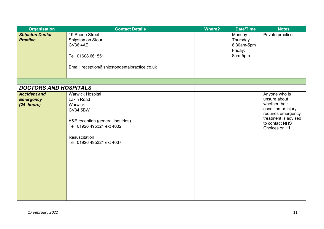| <b>Organisation</b>                       | <b>Contact Details</b>                                          | <b>Where?</b> | <b>Date/Time</b>                  | <b>Notes</b>                                                                    |
|-------------------------------------------|-----------------------------------------------------------------|---------------|-----------------------------------|---------------------------------------------------------------------------------|
| <b>Shipston Dental</b><br><b>Practice</b> | 19 Sheep Street<br>Shipston on Stour<br><b>CV36 4AE</b>         |               | Monday-<br>Thursday<br>8.30am-5pm | Private practice                                                                |
|                                           | Tel: 01608 661551                                               |               | Friday:<br>8am-5pm                |                                                                                 |
|                                           | Email: reception@shipstondentalpractice.co.uk                   |               |                                   |                                                                                 |
|                                           |                                                                 |               |                                   |                                                                                 |
| <b>DOCTORS AND HOSPITALS</b>              |                                                                 |               |                                   |                                                                                 |
| <b>Accident and</b>                       | <b>Warwick Hospital</b>                                         |               |                                   | Anyone who is                                                                   |
| <b>Emergency</b>                          | Lakin Road                                                      |               |                                   | unsure about<br>whether their                                                   |
| (24 hours)                                | Warwick<br><b>CV34 5BW</b>                                      |               |                                   | condition or injury                                                             |
|                                           | A&E reception (general inquiries)<br>Tel: 01926 495321 ext 4032 |               |                                   | requires emergency<br>treatment is advised<br>to contact NHS<br>Choices on 111. |
|                                           | Resuscitation<br>Tel: 01926 495321 ext 4037                     |               |                                   |                                                                                 |
|                                           |                                                                 |               |                                   |                                                                                 |
|                                           |                                                                 |               |                                   |                                                                                 |
|                                           |                                                                 |               |                                   |                                                                                 |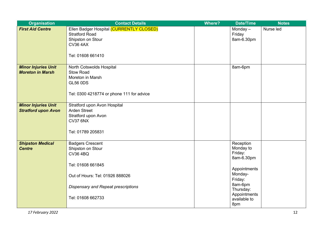| <b>Organisation</b>        | <b>Contact Details</b>                                            | <b>Where?</b> | <b>Date/Time</b>          | <b>Notes</b> |
|----------------------------|-------------------------------------------------------------------|---------------|---------------------------|--------------|
| <b>First Aid Centre</b>    | Ellen Badger Hospital (CURRENTLY CLOSED)<br><b>Stratford Road</b> |               | Monday $-$<br>Friday      | Nurse led    |
|                            | Shipston on Stour                                                 |               | 8am-6.30pm                |              |
|                            | <b>CV36 4AX</b>                                                   |               |                           |              |
|                            |                                                                   |               |                           |              |
|                            | Tel: 01608 661410                                                 |               |                           |              |
|                            |                                                                   |               |                           |              |
| <b>Minor Injuries Unit</b> | North Cotswolds Hospital                                          |               | 8am-6pm                   |              |
| <b>Moreton in Marsh</b>    | <b>Stow Road</b>                                                  |               |                           |              |
|                            | Moreton in Marsh                                                  |               |                           |              |
|                            | <b>GL56 0DS</b>                                                   |               |                           |              |
|                            |                                                                   |               |                           |              |
|                            | Tel: 0300 4218774 or phone 111 for advice                         |               |                           |              |
|                            |                                                                   |               |                           |              |
| <b>Minor Injuries Unit</b> | Stratford upon Avon Hospital                                      |               |                           |              |
| <b>Stratford upon Avon</b> | <b>Arden Street</b>                                               |               |                           |              |
|                            | Stratford upon Avon                                               |               |                           |              |
|                            | <b>CV37 6NX</b>                                                   |               |                           |              |
|                            | Tel: 01789 205831                                                 |               |                           |              |
|                            |                                                                   |               |                           |              |
| <b>Shipston Medical</b>    | <b>Badgers Crescent</b>                                           |               | Reception                 |              |
| <b>Centre</b>              | Shipston on Stour                                                 |               | Monday to                 |              |
|                            | <b>CV36 4BQ</b>                                                   |               | Friday:                   |              |
|                            |                                                                   |               | 8am-6.30pm                |              |
|                            | Tel: 01608 661845                                                 |               |                           |              |
|                            |                                                                   |               | Appointments              |              |
|                            | Out of Hours: Tel: 01926 888026                                   |               | Monday-                   |              |
|                            |                                                                   |               | Friday:                   |              |
|                            | Dispensary and Repeat prescriptions                               |               | 8am-6pm                   |              |
|                            |                                                                   |               | Thursday:<br>Appointments |              |
|                            | Tel: 01608 662733                                                 |               | available to              |              |
|                            |                                                                   |               | 8pm                       |              |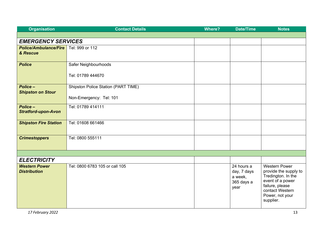| <b>Organisation</b>          | <b>Contact Details</b>                     | <b>Where?</b> | <b>Date/Time</b>   | <b>Notes</b>                           |  |
|------------------------------|--------------------------------------------|---------------|--------------------|----------------------------------------|--|
|                              |                                            |               |                    |                                        |  |
| <b>EMERGENCY SERVICES</b>    |                                            |               |                    |                                        |  |
| <b>Police/Ambulance/Fire</b> | Tel: 999 or 112                            |               |                    |                                        |  |
| & Rescue                     |                                            |               |                    |                                        |  |
|                              |                                            |               |                    |                                        |  |
| <b>Police</b>                | Safer Neighbourhoods                       |               |                    |                                        |  |
|                              | Tel: 01789 444670                          |               |                    |                                        |  |
|                              |                                            |               |                    |                                        |  |
| Police-                      | <b>Shipston Police Station (PART TIME)</b> |               |                    |                                        |  |
| <b>Shipston on Stour</b>     |                                            |               |                    |                                        |  |
|                              | Non-Emergency: Tel: 101                    |               |                    |                                        |  |
| Police-                      | Tel: 01789 414111                          |               |                    |                                        |  |
| <b>Stratford-upon-Avon</b>   |                                            |               |                    |                                        |  |
|                              | Tel: 01608 661466                          |               |                    |                                        |  |
| <b>Shipston Fire Station</b> |                                            |               |                    |                                        |  |
|                              |                                            |               |                    |                                        |  |
| <b>Crimestoppers</b>         | Tel: 0800 555111                           |               |                    |                                        |  |
|                              |                                            |               |                    |                                        |  |
|                              |                                            |               |                    |                                        |  |
| <b>ELECTRICITY</b>           |                                            |               |                    |                                        |  |
| <b>Western Power</b>         | Tel: 0800 6783 105 or call 105             |               | 24 hours a         | <b>Western Power</b>                   |  |
| <b>Distribution</b>          |                                            |               | day, 7 days        | provide the supply to                  |  |
|                              |                                            |               | a week,            | Tredington. In the<br>event of a power |  |
|                              |                                            |               | 365 days a<br>year | failure, please                        |  |
|                              |                                            |               |                    | contact Western                        |  |
|                              |                                            |               |                    | Power, not your                        |  |
|                              |                                            |               |                    | supplier.                              |  |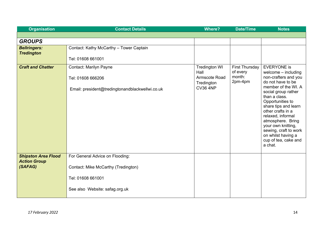| <b>Organisation</b>                               | <b>Contact Details</b>                                                                         | <b>Where?</b>                                                                  | <b>Date/Time</b>                                       | <b>Notes</b>                                                                                                                                                                                                                                                                                                                                                                  |
|---------------------------------------------------|------------------------------------------------------------------------------------------------|--------------------------------------------------------------------------------|--------------------------------------------------------|-------------------------------------------------------------------------------------------------------------------------------------------------------------------------------------------------------------------------------------------------------------------------------------------------------------------------------------------------------------------------------|
|                                                   |                                                                                                |                                                                                |                                                        |                                                                                                                                                                                                                                                                                                                                                                               |
| <b>GROUPS</b>                                     |                                                                                                |                                                                                |                                                        |                                                                                                                                                                                                                                                                                                                                                                               |
| <b>Bellringers:</b><br><b>Tredington</b>          | Contact: Kathy McCarthy - Tower Captain                                                        |                                                                                |                                                        |                                                                                                                                                                                                                                                                                                                                                                               |
|                                                   | Tel: 01608 661001                                                                              |                                                                                |                                                        |                                                                                                                                                                                                                                                                                                                                                                               |
| <b>Craft and Chatter</b>                          | Contact: Marilyn Payne<br>Tel: 01608 666206<br>Email: president@tredingtonandblackwellwi.co.uk | <b>Tredington WI</b><br>Hall<br>Armscote Road<br>Tredington<br><b>CV36 4NP</b> | <b>First Thursday</b><br>of every<br>month:<br>2pm-4pm | <b>EVERYONE</b> is<br>$w$ elcome $-$ including<br>non-crafters and you<br>do not have to be<br>member of the WI. A<br>social group rather<br>than a class.<br>Opportunities to<br>share tips and learn<br>other crafts in a<br>relaxed, informal<br>atmosphere. Bring<br>your own knitting,<br>sewing, craft to work<br>on whilst having a<br>cup of tea, cake and<br>a chat. |
| <b>Shipston Area Flood</b><br><b>Action Group</b> | For General Advice on Flooding:                                                                |                                                                                |                                                        |                                                                                                                                                                                                                                                                                                                                                                               |
| (SAFAG)                                           | Contact: Mike McCarthy (Tredington)                                                            |                                                                                |                                                        |                                                                                                                                                                                                                                                                                                                                                                               |
|                                                   | Tel: 01608 661001                                                                              |                                                                                |                                                        |                                                                                                                                                                                                                                                                                                                                                                               |
|                                                   | See also Website: safag.org.uk                                                                 |                                                                                |                                                        |                                                                                                                                                                                                                                                                                                                                                                               |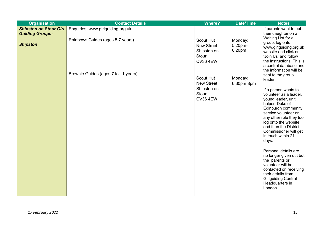| <b>Organisation</b>                                     | <b>Contact Details</b>              | <b>Where?</b>                                                      | <b>Date/Time</b>             | <b>Notes</b>                                                                                                                                                                                                                                                                                                                                                                                                                                                                                                     |
|---------------------------------------------------------|-------------------------------------|--------------------------------------------------------------------|------------------------------|------------------------------------------------------------------------------------------------------------------------------------------------------------------------------------------------------------------------------------------------------------------------------------------------------------------------------------------------------------------------------------------------------------------------------------------------------------------------------------------------------------------|
| <b>Shipston on Stour Girl</b><br><b>Guiding Groups:</b> | Enquiries: www.girlguiding.org.uk   |                                                                    |                              | If parents want to put<br>their daughter on a                                                                                                                                                                                                                                                                                                                                                                                                                                                                    |
| <b>Shipston</b>                                         | Rainbows Guides (ages 5-7 years)    | Scout Hut<br>New Street<br>Shipston on<br>Stour<br><b>CV36 4EW</b> | Monday:<br>5.20pm-<br>6.20pm | Waiting List for a<br>group, log onto<br>www.girlguiding.org.uk<br>website and click on<br>'Join Us' and follow<br>the instructions. This is<br>a central database and<br>the information will be                                                                                                                                                                                                                                                                                                                |
|                                                         | Brownie Guides (ages 7 to 11 years) | Scout Hut<br>New Street<br>Shipston on<br>Stour<br><b>CV36 4EW</b> | Monday:<br>6.30pm-8pm        | sent to the group<br>leader.<br>If a person wants to<br>volunteer as a leader,<br>young leader, unit<br>helper, Duke of<br>Edinburgh community<br>service volunteer or<br>any other role they too<br>log onto the website<br>and then the District<br>Commissioner will get<br>in touch within 21<br>days.<br>Personal details are<br>no longer given out but<br>the parents or<br>volunteer will be<br>contacted on receiving<br>their details from<br><b>Girlguiding Central</b><br>Headquarters in<br>London. |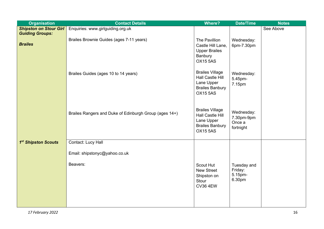| <b>Organisation</b>                      | <b>Contact Details</b>                                 | <b>Where?</b>                                                                                                | <b>Date/Time</b>                                | <b>Notes</b> |
|------------------------------------------|--------------------------------------------------------|--------------------------------------------------------------------------------------------------------------|-------------------------------------------------|--------------|
| <b>Shipston on Stour Girl</b>            | Enquiries: www.girlguiding.org.uk                      |                                                                                                              |                                                 | See Above    |
| <b>Guiding Groups:</b><br><b>Brailes</b> | Brailes Brownie Guides (ages 7-11 years)               | The Pavillion<br>Castle Hill Lane,<br><b>Upper Brailes</b><br>Banbury<br><b>OX15 5AS</b>                     | Wednesday:<br>6pm-7.30pm                        |              |
|                                          | Brailes Guides (ages 10 to 14 years)                   | <b>Brailes Village</b><br><b>Hall Castle Hill</b><br>Lane Upper<br><b>Brailes Banbury</b><br><b>OX15 5AS</b> | Wednesday:<br>5.45pm-<br>7.15pm                 |              |
|                                          | Brailes Rangers and Duke of Edinburgh Group (ages 14+) | <b>Brailes Village</b><br>Hall Castle Hill<br>Lane Upper<br><b>Brailes Banbury</b><br><b>OX15 5AS</b>        | Wednesday:<br>7.30pm-9pm<br>Once a<br>fortnight |              |
| 1st Shipston Scouts                      | Contact: Lucy Hall                                     |                                                                                                              |                                                 |              |
|                                          | Email: shipstonyc@yahoo.co.uk                          |                                                                                                              |                                                 |              |
|                                          |                                                        |                                                                                                              |                                                 |              |
|                                          | Beavers:                                               | Scout Hut<br>New Street<br>Shipston on<br>Stour<br><b>CV36 4EW</b>                                           | Tuesday and<br>Friday:<br>5.15pm-<br>6.30pm     |              |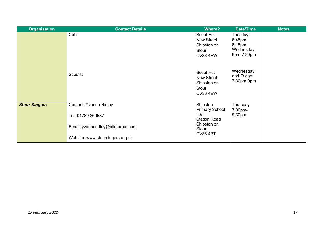| <b>Organisation</b>  | <b>Contact Details</b>                                                 | <b>Where?</b>                                                      | <b>Date/Time</b>                                          | <b>Notes</b> |
|----------------------|------------------------------------------------------------------------|--------------------------------------------------------------------|-----------------------------------------------------------|--------------|
|                      | Cubs:                                                                  | Scout Hut<br>New Street<br>Shipston on<br>Stour<br><b>CV36 4EW</b> | Tuesday:<br>6.45pm-<br>8.15pm<br>Wednesday:<br>6pm-7.30pm |              |
|                      | Scouts:                                                                | Scout Hut<br>New Street<br>Shipston on<br>Stour<br><b>CV36 4EW</b> | Wednesday<br>and Friday:<br>7.30pm-9pm                    |              |
| <b>Stour Singers</b> | <b>Contact: Yvonne Ridley</b><br>Tel: 01789 269587                     | Shipston<br><b>Primary School</b><br>Hall<br><b>Station Road</b>   | Thursday<br>7.30pm-<br>9.30pm                             |              |
|                      | Email: yvonneridley@btinternet.com<br>Website: www.stoursingers.org.uk | Shipston on<br>Stour<br><b>CV36 4BT</b>                            |                                                           |              |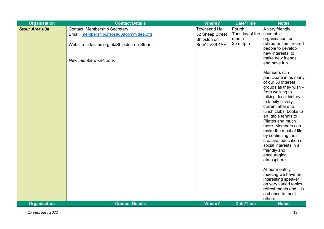| <b>Organisation</b>   | <b>Contact Details</b>                     | <b>Where?</b>        | <b>Date/Time</b> | <b>Notes</b>                             |
|-----------------------|--------------------------------------------|----------------------|------------------|------------------------------------------|
| <b>Stour Area u3a</b> | <b>Contact: Membership Secretary</b>       | <b>Townsend Hall</b> | Fourth           | A very friendly                          |
|                       | Email: membership@sosau3acommittee.org     | 52 Sheep Street      | Tuesday of the   | charitable                               |
|                       |                                            | Shipston on          | month            | organisation for                         |
|                       | Website: u3asites.org.uk/Shipston-on-Stour | Sour\CV36 4AE        | 2pm-4pm          | retired or semi-retired                  |
|                       |                                            |                      |                  | people to develop                        |
|                       |                                            |                      |                  | new interests, to<br>make new friends    |
|                       | New members welcome.                       |                      |                  | and have fun.                            |
|                       |                                            |                      |                  |                                          |
|                       |                                            |                      |                  | Members can                              |
|                       |                                            |                      |                  | participate in as many                   |
|                       |                                            |                      |                  | of our 30 interest                       |
|                       |                                            |                      |                  | groups as they wish -                    |
|                       |                                            |                      |                  | from walking to                          |
|                       |                                            |                      |                  | talking; local history                   |
|                       |                                            |                      |                  | to family history;<br>current affairs to |
|                       |                                            |                      |                  | lunch clubs; books to                    |
|                       |                                            |                      |                  | art; table tennis to                     |
|                       |                                            |                      |                  | Pilates and much                         |
|                       |                                            |                      |                  | more. Members can                        |
|                       |                                            |                      |                  | make the most of life                    |
|                       |                                            |                      |                  | by continuing their                      |
|                       |                                            |                      |                  | creative, education or                   |
|                       |                                            |                      |                  | social interests in a                    |
|                       |                                            |                      |                  | friendly and                             |
|                       |                                            |                      |                  | encouraging                              |
|                       |                                            |                      |                  | atmosphere                               |
|                       |                                            |                      |                  | At our monthly                           |
|                       |                                            |                      |                  | meeting we have an                       |
|                       |                                            |                      |                  | interesting speaker                      |
|                       |                                            |                      |                  | on very varied topics,                   |
|                       |                                            |                      |                  | refreshments and it is                   |
|                       |                                            |                      |                  | a chance to meet                         |
|                       |                                            |                      |                  | others.                                  |
| <b>Organisation</b>   | <b>Contact Details</b>                     | <b>Where?</b>        | <b>Date/Time</b> | <b>Notes</b>                             |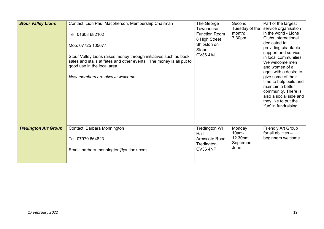| <b>Stour Valley Lions</b>   | Contact: Lion Paul Macpherson, Membership Chairman<br>Tel: 01608 682102<br>Mob: 07725 105677<br>Stour Valley Lions raises money through initiatives such as book<br>sales and stalls at fetes and other events. The money is all put to<br>good use in the local area.<br>New members are always welcome. | The George<br>Townhouse<br><b>Function Room</b><br>8 High Street<br>Shipston on<br>Stour<br><b>CV36 4AJ</b> | Second<br>Tuesday of the<br>month:<br>7.30pm        | Part of the largest<br>service organisation<br>in the world - Lions<br><b>Clubs International</b><br>dedicated to<br>providing charitable<br>support and service<br>in local communities.<br>We welcome men<br>and women of all<br>ages with a desire to<br>give some of their<br>time to help build and<br>maintain a better<br>community. There is<br>also a social side and<br>they like to put the<br>'fun' in fundraising. |
|-----------------------------|-----------------------------------------------------------------------------------------------------------------------------------------------------------------------------------------------------------------------------------------------------------------------------------------------------------|-------------------------------------------------------------------------------------------------------------|-----------------------------------------------------|---------------------------------------------------------------------------------------------------------------------------------------------------------------------------------------------------------------------------------------------------------------------------------------------------------------------------------------------------------------------------------------------------------------------------------|
| <b>Tredington Art Group</b> | Contact: Barbara Monnington<br>Tel: 07970 664823<br>Email: barbara.monnington@outlook.com                                                                                                                                                                                                                 | <b>Tredington WI</b><br>Hall<br>Armscote Road<br>Tredington<br><b>CV36 4NP</b>                              | Monday<br>$10am -$<br>12.30pm<br>September-<br>June | <b>Friendly Art Group</b><br>for all abilities $-$<br>beginners welcome                                                                                                                                                                                                                                                                                                                                                         |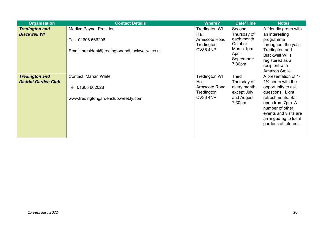| <b>Organisation</b>                                  | <b>Contact Details</b>                                                                           | <b>Where?</b>                                                                  | <b>Date/Time</b>                                                                               | <b>Notes</b>                                                                                                                                                                                                                         |
|------------------------------------------------------|--------------------------------------------------------------------------------------------------|--------------------------------------------------------------------------------|------------------------------------------------------------------------------------------------|--------------------------------------------------------------------------------------------------------------------------------------------------------------------------------------------------------------------------------------|
| <b>Tredington and</b><br><b>Blackwell WI</b>         | Marilyn Payne, President<br>Tel: 01608 666206<br>Email: president@tredingtonandblackwellwi.co.uk | <b>Tredington WI</b><br>Hall<br>Armscote Road<br>Tredington<br><b>CV36 4NP</b> | Second<br>Thursday of<br>each month<br>October-<br>March 1pm<br>April-<br>September:<br>7.30pm | A friendly group with<br>an interesting<br>programme<br>throughout the year.<br>Tredington and<br><b>Blackwell WI is</b><br>registered as a<br>recipient with<br>Amazon Smile                                                        |
| <b>Tredington and</b><br><b>District Garden Club</b> | <b>Contact: Marian White</b><br>Tel: 01608 662028<br>www.tredingtongardenclub.weebly.com         | <b>Tredington WI</b><br>Hall<br>Armscote Road<br>Tredington<br><b>CV36 4NP</b> | <b>Third</b><br>Thursday of<br>every month,<br>except July<br>and August<br>7.30pm             | A presentation of 1-<br>$1\frac{1}{2}$ hours with the<br>opportunity to ask<br>questions. Light<br>refreshments. Bar<br>open from 7pm. A<br>number of other<br>events and visits are<br>arranged eg to local<br>gardens of interest. |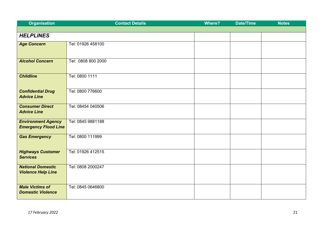| <b>Organisation</b>                                      | <b>Contact Details</b> | <b>Where?</b> | <b>Date/Time</b> | <b>Notes</b> |
|----------------------------------------------------------|------------------------|---------------|------------------|--------------|
|                                                          |                        |               |                  |              |
| <b>HELPLINES</b>                                         |                        |               |                  |              |
| <b>Age Concern</b>                                       | Tel: 01926 458100      |               |                  |              |
| <b>Alcohol Concern</b>                                   | Tel: 0808 800 2000     |               |                  |              |
| <b>Childline</b>                                         | Tel: 0800 1111         |               |                  |              |
| <b>Confidential Drug</b><br><b>Advice Line</b>           | Tel: 0800 776600       |               |                  |              |
| <b>Consumer Direct</b><br><b>Advice Line</b>             | Tel: 08454 040506      |               |                  |              |
| <b>Environment Agency</b><br><b>Emergency Flood Line</b> | Tel: 0845 9881188      |               |                  |              |
| <b>Gas Emergency</b>                                     | Tel: 0800 111999       |               |                  |              |
| <b>Highways Customer</b><br><b>Services</b>              | Tel: 01926 412515      |               |                  |              |
| <b>National Domestic</b><br><b>Violence Help Line</b>    | Tel: 0808 2000247      |               |                  |              |
| <b>Male Victims of</b><br><b>Domestic Violence</b>       | Tel: 0845 0646800      |               |                  |              |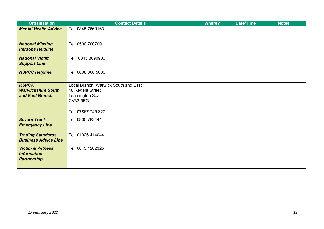| <b>Organisation</b>         | <b>Contact Details</b>               | <b>Where?</b> | <b>Date/Time</b> | <b>Notes</b> |
|-----------------------------|--------------------------------------|---------------|------------------|--------------|
| <b>Mental Health Advice</b> | Tel: 0845 7660163                    |               |                  |              |
|                             |                                      |               |                  |              |
| <b>National Missing</b>     | Tel: 0500 700700                     |               |                  |              |
| <b>Persons Helpline</b>     |                                      |               |                  |              |
| <b>National Victim</b>      | Tel: 0845 3090900                    |               |                  |              |
| <b>Support Line</b>         |                                      |               |                  |              |
| <b>NSPCC Helpline</b>       | Tel: 0808 800 5000                   |               |                  |              |
|                             |                                      |               |                  |              |
| <b>RSPCA</b>                | Local Branch: Warwick South and East |               |                  |              |
| <b>Warwickshire South</b>   | 48 Regent Street                     |               |                  |              |
| and East Branch             | Leamington Spa                       |               |                  |              |
|                             | <b>CV32 5EG</b>                      |               |                  |              |
|                             |                                      |               |                  |              |
|                             | Tel: 07867 745 827                   |               |                  |              |
| <b>Severn Trent</b>         | Tel: 0800 7834444                    |               |                  |              |
| <b>Emergency Line</b>       |                                      |               |                  |              |
| <b>Trading Standards</b>    | Tel: 01926 414044                    |               |                  |              |
| <b>Business Advice Line</b> |                                      |               |                  |              |
| <b>Victim &amp; Witness</b> | Tel: 0845 1202325                    |               |                  |              |
| <b>Information</b>          |                                      |               |                  |              |
| <b>Partnership</b>          |                                      |               |                  |              |
|                             |                                      |               |                  |              |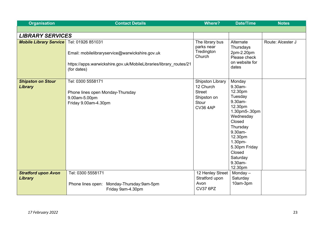| <b>Organisation</b>                          | <b>Contact Details</b>                                                                                                                                    | Where?                                                                                           | <b>Date/Time</b>                                                                                                                                                                                                | <b>Notes</b>      |
|----------------------------------------------|-----------------------------------------------------------------------------------------------------------------------------------------------------------|--------------------------------------------------------------------------------------------------|-----------------------------------------------------------------------------------------------------------------------------------------------------------------------------------------------------------------|-------------------|
|                                              |                                                                                                                                                           |                                                                                                  |                                                                                                                                                                                                                 |                   |
| <b>LIBRARY SERVICES</b>                      |                                                                                                                                                           |                                                                                                  |                                                                                                                                                                                                                 |                   |
| <b>Mobile Library Service</b>                | Tel: 01926 851031<br>Email: mobilelibraryservice@warwickshire.gov.uk<br>https://apps.warwickshire.gov.uk/MobileLibraries/library routes/21<br>(for dates) | The library bus<br>parks near<br>Tredington<br>Church                                            | Alternate<br>Thursdays<br>2pm-2.20pm<br>Please check<br>on website for<br>dates                                                                                                                                 | Route: Alcester J |
| <b>Shipston on Stour</b><br><b>Library</b>   | Tel: 0300 5558171<br>Phone lines open Monday-Thursday<br>9.00am-5.00pm<br>Friday 9.00am-4.30pm                                                            | <b>Shipston Library</b><br>12 Church<br><b>Street</b><br>Shipston on<br>Stour<br><b>CV36 4AP</b> | Monday<br>9.30am-<br>12.30pm<br>Tuesday<br>9.30am-<br>12.30pm<br>1.30pm5-.30pm<br>Wednesday<br>Closed<br>Thursday<br>9.30am-<br>12.30pm<br>1.30pm-<br>5.30pm Friday<br>Closed<br>Saturday<br>9.30am-<br>12.30pm |                   |
| <b>Stratford upon Avon</b><br><b>Library</b> | Tel: 0300 5558171<br>Phone lines open: Monday-Thursday:9am-5pm<br>Friday 9am-4.30pm                                                                       | 12 Henley Street<br>Stratford upon<br>Avon<br><b>CV37 6PZ</b>                                    | Monday $-$<br>Saturday<br>10am-3pm                                                                                                                                                                              |                   |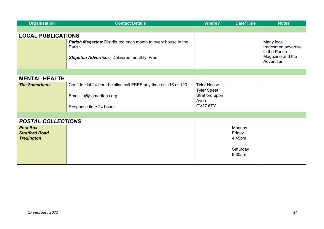| <b>Organisation</b>                                           | <b>Contact Details</b>                                                                                                  | <b>Where?</b>                                                                          | <b>Date/Time</b>                                  | <b>Notes</b>                                                                         |  |
|---------------------------------------------------------------|-------------------------------------------------------------------------------------------------------------------------|----------------------------------------------------------------------------------------|---------------------------------------------------|--------------------------------------------------------------------------------------|--|
|                                                               |                                                                                                                         |                                                                                        |                                                   |                                                                                      |  |
| <b>LOCAL PUBLICATIONS</b>                                     |                                                                                                                         |                                                                                        |                                                   |                                                                                      |  |
|                                                               | Parish Magazine: Distributed each month to every house in the<br>Parish<br>Shipston Advertiser: Delivered monthly. Free |                                                                                        |                                                   | Many local<br>tradesmen advertise<br>in the Parish<br>Magazine and the<br>Advertiser |  |
|                                                               |                                                                                                                         |                                                                                        |                                                   |                                                                                      |  |
| <b>MENTAL HEALTH</b>                                          |                                                                                                                         |                                                                                        |                                                   |                                                                                      |  |
| <b>The Samaritans</b>                                         | Confidential 24-hour helpline call FREE any time on 116 or 123<br>Email: jo@samaritans.org<br>Response time 24 hours    | <b>Tyler House</b><br><b>Tyler Street</b><br>Stratford upon<br>Avon<br><b>CV37 6TY</b> |                                                   |                                                                                      |  |
|                                                               |                                                                                                                         |                                                                                        |                                                   |                                                                                      |  |
| <b>POSTAL COLLECTIONS</b>                                     |                                                                                                                         |                                                                                        |                                                   |                                                                                      |  |
| <b>Post Box</b><br><b>Stratford Road</b><br><b>Tredington</b> |                                                                                                                         |                                                                                        | Monday-<br>Friday<br>4.45pm<br>Saturday<br>9.30am |                                                                                      |  |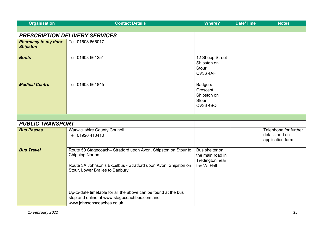| <b>Organisation</b>                           | <b>Contact Details</b>                                                                                                                                                                                                                                                                                          | <b>Where?</b>                                                          | <b>Date/Time</b> | <b>Notes</b>                                                |
|-----------------------------------------------|-----------------------------------------------------------------------------------------------------------------------------------------------------------------------------------------------------------------------------------------------------------------------------------------------------------------|------------------------------------------------------------------------|------------------|-------------------------------------------------------------|
|                                               |                                                                                                                                                                                                                                                                                                                 |                                                                        |                  |                                                             |
|                                               | <b>PRESCRIPTION DELIVERY SERVICES</b>                                                                                                                                                                                                                                                                           |                                                                        |                  |                                                             |
| <b>Pharmacy to my door</b><br><b>Shipston</b> | Tel: 01608 666017                                                                                                                                                                                                                                                                                               |                                                                        |                  |                                                             |
| <b>Boots</b>                                  | Tel: 01608 661251                                                                                                                                                                                                                                                                                               | 12 Sheep Street<br>Shipston on<br>Stour<br><b>CV36 4AF</b>             |                  |                                                             |
| <b>Medical Centre</b>                         | Tel: 01608 661845                                                                                                                                                                                                                                                                                               | <b>Badgers</b><br>Crescent,<br>Shipston on<br>Stour<br><b>CV36 4BQ</b> |                  |                                                             |
|                                               |                                                                                                                                                                                                                                                                                                                 |                                                                        |                  |                                                             |
| <b>PUBLIC TRANSPORT</b>                       |                                                                                                                                                                                                                                                                                                                 |                                                                        |                  |                                                             |
| <b>Bus Passes</b>                             | <b>Warwickshire County Council</b><br>Tel: 01926 410410                                                                                                                                                                                                                                                         |                                                                        |                  | Telephone for further<br>details and an<br>application form |
| <b>Bus Travel</b>                             | Route 50 Stagecoach- Stratford upon Avon, Shipston on Stour to<br><b>Chipping Norton</b><br>Route 3A Johnson's Excelbus - Stratford upon Avon, Shipston on<br>Stour, Lower Brailes to Banbury<br>Up-to-date timetable for all the above can be found at the bus<br>stop and online at www.stagecoachbus.com and | Bus shelter on<br>the main road in<br>Tredington near<br>the WI Hall   |                  |                                                             |
|                                               | www.johnsonscoaches.co.uk                                                                                                                                                                                                                                                                                       |                                                                        |                  |                                                             |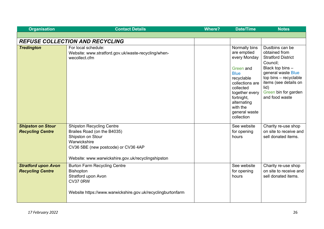| <b>Organisation</b>                                   | <b>Contact Details</b>                                                                                                                                                                            | <b>Where?</b> | <b>Date/Time</b>                                                                                                                                                                                                 | <b>Notes</b>                                                                                                                                                                                                            |
|-------------------------------------------------------|---------------------------------------------------------------------------------------------------------------------------------------------------------------------------------------------------|---------------|------------------------------------------------------------------------------------------------------------------------------------------------------------------------------------------------------------------|-------------------------------------------------------------------------------------------------------------------------------------------------------------------------------------------------------------------------|
|                                                       |                                                                                                                                                                                                   |               |                                                                                                                                                                                                                  |                                                                                                                                                                                                                         |
|                                                       | <b>REFUSE COLLECTION AND RECYCLING</b>                                                                                                                                                            |               |                                                                                                                                                                                                                  |                                                                                                                                                                                                                         |
| <b>Tredington</b>                                     | For local schedule:<br>Website: www.stratford.gov.uk/waste-recycling/when-<br>wecollect.cfm                                                                                                       |               | Normally bins<br>are emptied<br>every Monday<br>Green and<br><b>Blue</b><br>recyclable<br>collections are<br>collected<br>together every<br>fortnight,<br>alternating<br>with the<br>general waste<br>collection | Dustbins can be<br>obtained from<br><b>Stratford District</b><br>Council:<br>Black top bins -<br>general waste Blue<br>top bins - recyclable<br>items (see details on<br>lid)<br>Green bin for garden<br>and food waste |
| <b>Shipston on Stour</b><br><b>Recycling Centre</b>   | <b>Shipston Recycling Centre</b><br>Brailes Road (on the B4035)<br>Shipston on Stour<br>Warwickshire<br>CV36 5BE (new postcode) or CV36 4AP<br>Website: www.warwickshire.gov.uk/recyclingshipston |               | See website<br>for opening<br>hours                                                                                                                                                                              | Charity re-use shop<br>on site to receive and<br>sell donated items.                                                                                                                                                    |
| <b>Stratford upon Avon</b><br><b>Recycling Centre</b> | <b>Burton Farm Recycling Centre</b><br><b>Bishopton</b><br>Stratford upon Avon<br><b>CV37 0RW</b><br>Website https://www.warwickshire.gov.uk/recyclingburtonfarm                                  |               | See website<br>for opening<br>hours                                                                                                                                                                              | Charity re-use shop<br>on site to receive and<br>sell donated items.                                                                                                                                                    |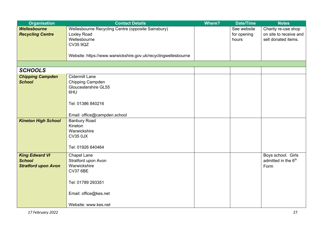| <b>Organisation</b>        | <b>Contact Details</b>                                         | <b>Where?</b> | <b>Date/Time</b> | <b>Notes</b>                    |
|----------------------------|----------------------------------------------------------------|---------------|------------------|---------------------------------|
| <b>Wellesbourne</b>        | Wellesbourne Recycling Centre (opposite Sainsbury)             |               | See website      | Charity re-use shop             |
| <b>Recycling Centre</b>    | <b>Loxley Road</b>                                             |               | for opening      | on site to receive and          |
|                            | Wellesbourne                                                   |               | hours            | sell donated items.             |
|                            | <b>CV35 9QZ</b>                                                |               |                  |                                 |
|                            |                                                                |               |                  |                                 |
|                            | Website: https://www.warwickshire.gov.uk/recyclingwellesbourne |               |                  |                                 |
|                            |                                                                |               |                  |                                 |
| <b>SCHOOLS</b>             |                                                                |               |                  |                                 |
| <b>Chipping Campden</b>    | Cidermill Lane                                                 |               |                  |                                 |
| <b>School</b>              | Chipping Campden                                               |               |                  |                                 |
|                            | Gloucestershire GL55                                           |               |                  |                                 |
|                            | 6HU                                                            |               |                  |                                 |
|                            |                                                                |               |                  |                                 |
|                            | Tel: 01386 840216                                              |               |                  |                                 |
|                            |                                                                |               |                  |                                 |
|                            | Email: office@campden.school                                   |               |                  |                                 |
| <b>Kineton High School</b> | <b>Banbury Road</b>                                            |               |                  |                                 |
|                            | Kineton                                                        |               |                  |                                 |
|                            | Warwickshire                                                   |               |                  |                                 |
|                            | <b>CV35 0JX</b>                                                |               |                  |                                 |
|                            | Tel: 01926 640464                                              |               |                  |                                 |
|                            |                                                                |               |                  |                                 |
| <b>King Edward VI</b>      | Chapel Lane                                                    |               |                  | Boys school. Girls              |
| <b>School</b>              | Stratford upon Avon                                            |               |                  | admitted in the 6 <sup>th</sup> |
| <b>Stratford upon Avon</b> | Warwickshire                                                   |               |                  | Form                            |
|                            | <b>CV37 6BE</b>                                                |               |                  |                                 |
|                            | Tel: 01789 293351                                              |               |                  |                                 |
|                            |                                                                |               |                  |                                 |
|                            | Email: office@kes.net                                          |               |                  |                                 |
|                            |                                                                |               |                  |                                 |
|                            | Website: www.kes.net                                           |               |                  |                                 |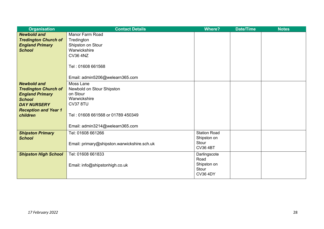| <b>Organisation</b>         | <b>Contact Details</b>                      | <b>Where?</b>       | <b>Date/Time</b> | <b>Notes</b> |
|-----------------------------|---------------------------------------------|---------------------|------------------|--------------|
| <b>Newbold and</b>          | <b>Manor Farm Road</b>                      |                     |                  |              |
| <b>Tredington Church of</b> | Tredington                                  |                     |                  |              |
| <b>England Primary</b>      | Shipston on Stour                           |                     |                  |              |
| <b>School</b>               | Warwickshire                                |                     |                  |              |
|                             | <b>CV36 4NZ</b>                             |                     |                  |              |
|                             | Tel: 01608 661568                           |                     |                  |              |
|                             | Email: admin5206@welearn365.com             |                     |                  |              |
| <b>Newbold and</b>          | Moss Lane                                   |                     |                  |              |
| <b>Tredington Church of</b> | Newbold on Stour Shipston                   |                     |                  |              |
| <b>England Primary</b>      | on Stour                                    |                     |                  |              |
| <b>School</b>               | Warwickshire                                |                     |                  |              |
| <b>DAY NURSERY</b>          | <b>CV37 8TU</b>                             |                     |                  |              |
| <b>Reception and Year 1</b> |                                             |                     |                  |              |
| children                    | Tel: 01608 661568 or 01789 450349           |                     |                  |              |
|                             |                                             |                     |                  |              |
|                             | Email: admin3214@welearn365.com             |                     |                  |              |
| <b>Shipston Primary</b>     | Tel: 01608 661266                           | <b>Station Road</b> |                  |              |
| <b>School</b>               |                                             | Shipston on         |                  |              |
|                             | Email: primary@shipston.warwickshire.sch.uk | Stour               |                  |              |
|                             |                                             | <b>CV36 4BT</b>     |                  |              |
| <b>Shipston High School</b> | Tel: 01608 661833                           | Darlingscote        |                  |              |
|                             |                                             | Road                |                  |              |
|                             | Email: info@shipstonhigh.co.uk              | Shipston on         |                  |              |
|                             |                                             | Stour               |                  |              |
|                             |                                             | <b>CV36 4DY</b>     |                  |              |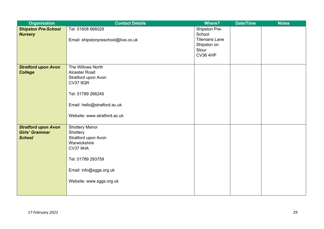| <b>Organisation</b>        | <b>Contact Details</b>              | <b>Where?</b>        | <b>Date/Time</b> | <b>Notes</b> |
|----------------------------|-------------------------------------|----------------------|------------------|--------------|
| <b>Shipston Pre-School</b> | Tel: 01608 666029                   | Shipston Pre-        |                  |              |
| <b>Nursery</b>             |                                     | School               |                  |              |
|                            | Email: shipstonpreschool@live.co.uk | <b>Tilemans Lane</b> |                  |              |
|                            |                                     | Shipston on          |                  |              |
|                            |                                     | Stour                |                  |              |
|                            |                                     | <b>CV36 4HP</b>      |                  |              |
|                            |                                     |                      |                  |              |
| <b>Stratford upon Avon</b> | The Willows North                   |                      |                  |              |
| <b>College</b>             | <b>Alcester Road</b>                |                      |                  |              |
|                            | Stratford upon Avon                 |                      |                  |              |
|                            | <b>CV37 9QR</b>                     |                      |                  |              |
|                            | Tel: 01789 266245                   |                      |                  |              |
|                            |                                     |                      |                  |              |
|                            |                                     |                      |                  |              |
|                            | Email: hello@stratford.ac.uk        |                      |                  |              |
|                            | Website: www.stratford.ac.uk        |                      |                  |              |
|                            |                                     |                      |                  |              |
| <b>Stratford upon Avon</b> | <b>Shottery Manor</b>               |                      |                  |              |
| <b>Girls' Grammar</b>      | Shottery                            |                      |                  |              |
| <b>School</b>              | Stratford upon Avon                 |                      |                  |              |
|                            | Warwickshire                        |                      |                  |              |
|                            | <b>CV37 9HA</b>                     |                      |                  |              |
|                            |                                     |                      |                  |              |
|                            | Tel: 01789 293759                   |                      |                  |              |
|                            |                                     |                      |                  |              |
|                            | Email: info@sggs.org.uk             |                      |                  |              |
|                            |                                     |                      |                  |              |
|                            | Website: www.sggs.org.uk            |                      |                  |              |
|                            |                                     |                      |                  |              |
|                            |                                     |                      |                  |              |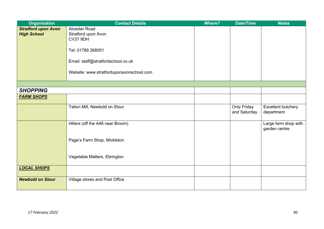| <b>Organisation</b>                              | <b>Contact Details</b>                   | <b>Where?</b> | <b>Date/Time</b>            | <b>Notes</b>                          |
|--------------------------------------------------|------------------------------------------|---------------|-----------------------------|---------------------------------------|
| <b>Stratford upon Avon</b><br><b>High School</b> | Alcester Road<br>Stratford upon Avon     |               |                             |                                       |
|                                                  | <b>CV37 9DH</b>                          |               |                             |                                       |
|                                                  | Tel: 01789 268051                        |               |                             |                                       |
|                                                  | Email: staff@stratfordschool.co.uk       |               |                             |                                       |
|                                                  | Website: www.stratforduponavonschool.com |               |                             |                                       |
|                                                  |                                          |               |                             |                                       |
| <b>SHOPPING</b>                                  |                                          |               |                             |                                       |
| <b>FARM SHOPS</b>                                |                                          |               |                             |                                       |
|                                                  | Talton Mill, Newbold on Stour            |               | Only Friday<br>and Saturday | Excellent butchery<br>department      |
|                                                  | Hillers (off the A46 near Broom)         |               |                             | Large farm shop with<br>garden centre |
|                                                  | Page's Farm Shop, Mickleton              |               |                             |                                       |
|                                                  | Vegetable Matters, Ebrington             |               |                             |                                       |
| <b>LOCAL SHOPS</b>                               |                                          |               |                             |                                       |
| <b>Newbold on Stour</b>                          | Village stores and Post Office           |               |                             |                                       |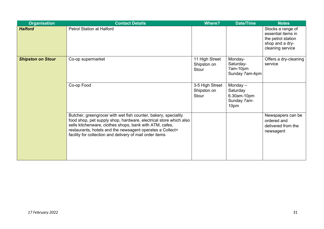| <b>Organisation</b>      | <b>Contact Details</b>                                                                                                                                                                                                                                                                                                  | <b>Where?</b>                           | <b>Date/Time</b>                                             | <b>Notes</b>                                                                                         |
|--------------------------|-------------------------------------------------------------------------------------------------------------------------------------------------------------------------------------------------------------------------------------------------------------------------------------------------------------------------|-----------------------------------------|--------------------------------------------------------------|------------------------------------------------------------------------------------------------------|
| <b>Halford</b>           | <b>Petrol Station at Halford</b>                                                                                                                                                                                                                                                                                        |                                         |                                                              | Stocks a range of<br>essential items in<br>the petrol station<br>shop and a dry-<br>cleaning service |
| <b>Shipston on Stour</b> | Co-op supermarket                                                                                                                                                                                                                                                                                                       | 11 High Street<br>Shipston on<br>Stour  | Monday-<br>Saturday-<br>7am-10pm<br>Sunday 7am-4pm           | Offers a dry-cleaning<br>service                                                                     |
|                          | Co-op Food                                                                                                                                                                                                                                                                                                              | 3-5 High Street<br>Shipston on<br>Stour | Monday $-$<br>Saturday<br>6.30am-10pm<br>Sunday 7am-<br>10pm |                                                                                                      |
|                          | Butcher, greengrocer with wet fish counter, bakery, speciality<br>food shop, pet supply shop, hardware, electrical store which also<br>sells kitchenware, clothes shops, bank with ATM, cafes,<br>restaurants, hotels and the newsagent operates a Collect+<br>facility for collection and delivery of mail order items |                                         |                                                              | Newspapers can be<br>ordered and<br>delivered from the<br>newsagent                                  |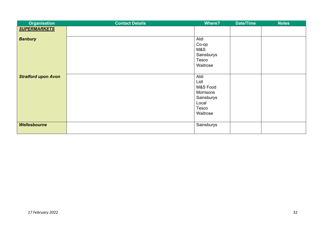| <b>Organisation</b>        | <b>Contact Details</b> | Where?                                                                            | <b>Date/Time</b> | <b>Notes</b> |
|----------------------------|------------------------|-----------------------------------------------------------------------------------|------------------|--------------|
| <b>SUPERMARKETS</b>        |                        |                                                                                   |                  |              |
| <b>Banbury</b>             |                        | Aldi<br>Co-op<br>M&S<br>Sainsburys<br>Tesco<br>Waitrose                           |                  |              |
| <b>Stratford upon Avon</b> |                        | Aldi<br>Lidl<br>M&S Food<br>Morrisons<br>Sainsburys<br>Local<br>Tesco<br>Waitrose |                  |              |
| <b>Wellesbourne</b>        |                        | Sainsburys                                                                        |                  |              |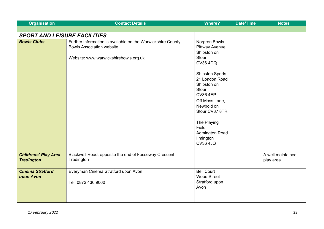| <b>Organisation</b>                 | <b>Contact Details</b>                                      | <b>Where?</b>                        | <b>Date/Time</b> | <b>Notes</b>      |  |  |
|-------------------------------------|-------------------------------------------------------------|--------------------------------------|------------------|-------------------|--|--|
|                                     |                                                             |                                      |                  |                   |  |  |
| <b>SPORT AND LEISURE FACILITIES</b> |                                                             |                                      |                  |                   |  |  |
| <b>Bowls Clubs</b>                  | Further information is available on the Warwickshire County | Norgren Bowls                        |                  |                   |  |  |
|                                     | <b>Bowls Association website</b>                            | Pittway Avenue,                      |                  |                   |  |  |
|                                     |                                                             | Shipston on                          |                  |                   |  |  |
|                                     | Website: www.warwickshirebowls.org.uk                       | Stour                                |                  |                   |  |  |
|                                     |                                                             | <b>CV36 4DQ</b>                      |                  |                   |  |  |
|                                     |                                                             | <b>Shipston Sports</b>               |                  |                   |  |  |
|                                     |                                                             | 21 London Road                       |                  |                   |  |  |
|                                     |                                                             | Shipston on                          |                  |                   |  |  |
|                                     |                                                             | Stour                                |                  |                   |  |  |
|                                     |                                                             | <b>CV36 4EP</b>                      |                  |                   |  |  |
|                                     |                                                             | Off Moss Lane,                       |                  |                   |  |  |
|                                     |                                                             | Newbold on                           |                  |                   |  |  |
|                                     |                                                             | Stour CV37 8TR                       |                  |                   |  |  |
|                                     |                                                             | The Playing                          |                  |                   |  |  |
|                                     |                                                             | Field                                |                  |                   |  |  |
|                                     |                                                             | <b>Admington Road</b>                |                  |                   |  |  |
|                                     |                                                             | Ilmington                            |                  |                   |  |  |
|                                     |                                                             | <b>CV36 4JQ</b>                      |                  |                   |  |  |
|                                     |                                                             |                                      |                  |                   |  |  |
| <b>Childrens' Play Area</b>         | Blackwell Road, opposite the end of Fosseway Crescent       |                                      |                  | A well maintained |  |  |
| <b>Tredington</b>                   | Tredington                                                  |                                      |                  | play area         |  |  |
|                                     |                                                             |                                      |                  |                   |  |  |
| <b>Cinema Stratford</b>             | Everyman Cinema Stratford upon Avon                         | <b>Bell Court</b>                    |                  |                   |  |  |
| upon Avon                           |                                                             | <b>Wood Street</b><br>Stratford upon |                  |                   |  |  |
|                                     | Tel: 0872 436 9060                                          | Avon                                 |                  |                   |  |  |
|                                     |                                                             |                                      |                  |                   |  |  |
|                                     |                                                             |                                      |                  |                   |  |  |
|                                     |                                                             |                                      |                  |                   |  |  |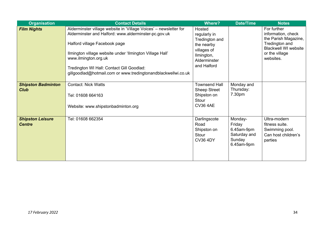| <b>Organisation</b>                      | <b>Contact Details</b>                                                                                                                                                                                                                                                                                                                                       | <b>Where?</b>                                                                                                      | <b>Date/Time</b>                                                        | <b>Notes</b>                                                                                                                              |
|------------------------------------------|--------------------------------------------------------------------------------------------------------------------------------------------------------------------------------------------------------------------------------------------------------------------------------------------------------------------------------------------------------------|--------------------------------------------------------------------------------------------------------------------|-------------------------------------------------------------------------|-------------------------------------------------------------------------------------------------------------------------------------------|
| <b>Film Nights</b>                       | Alderminster village website in 'Village Voices' - newsletter for<br>Alderminster and Halford: www.alderminster-pc.gov.uk<br>Halford village Facebook page<br>Ilmington village website under 'Ilmington Village Hall'<br>www.ilmington.org.uk<br>Tredington WI Hall: Contact Gill Goodlad:<br>gillgoodlad@hotmail.com or www.tredingtonandblackwellwi.co.uk | Hosted<br>regularly in<br>Tredington and<br>the nearby<br>villages of<br>Ilmington,<br>Alderminster<br>and Halford |                                                                         | For further<br>information, check<br>the Parish Magazine,<br>Tredington and<br><b>Blackwell WI website</b><br>or the village<br>websites. |
| <b>Shipston Badminton</b><br><b>Club</b> | <b>Contact: Nick Watts</b><br>Tel: 01608 664163<br>Website: www.shipstonbadminton.org                                                                                                                                                                                                                                                                        | <b>Townsend Hall</b><br><b>Sheep Street</b><br>Shipston on<br>Stour<br><b>CV36 4AE</b>                             | Monday and<br>Thursday:<br>7.30pm                                       |                                                                                                                                           |
| <b>Shipston Leisure</b><br><b>Centre</b> | Tel: 01608 662354                                                                                                                                                                                                                                                                                                                                            | Darlingscote<br>Road<br>Shipston on<br>Stour<br><b>CV36 4DY</b>                                                    | Monday-<br>Friday<br>6.45am-9pm<br>Saturday and<br>Sunday<br>6.45am-9pm | Ultra-modern<br>fitness suite.<br>Swimming pool.<br>Can host children's<br>parties                                                        |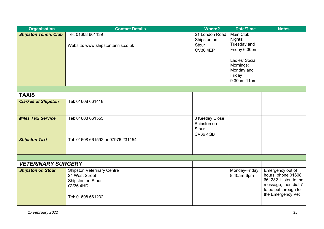| <b>Organisation</b>         | <b>Contact Details</b>            | <b>Where?</b>            | <b>Date/Time</b>             | <b>Notes</b>          |
|-----------------------------|-----------------------------------|--------------------------|------------------------------|-----------------------|
| <b>Shipston Tennis Club</b> | Tel: 01608 661139                 | 21 London Road           | Main Club                    |                       |
|                             |                                   | Shipston on              | Nights:                      |                       |
|                             | Website: www.shipstontennis.co.uk | Stour                    | Tuesday and<br>Friday 6.30pm |                       |
|                             |                                   | <b>CV36 4EP</b>          |                              |                       |
|                             |                                   |                          | Ladies' Social               |                       |
|                             |                                   |                          | Mornings:                    |                       |
|                             |                                   |                          | Monday and                   |                       |
|                             |                                   |                          | Friday                       |                       |
|                             |                                   |                          | 9.30am-11am                  |                       |
|                             |                                   |                          |                              |                       |
| <b>TAXIS</b>                |                                   |                          |                              |                       |
| <b>Clarkes of Shipston</b>  | Tel: 01608 661418                 |                          |                              |                       |
|                             |                                   |                          |                              |                       |
|                             |                                   |                          |                              |                       |
| <b>Miles Taxi Service</b>   | Tel: 01608 661555                 | 8 Keetley Close          |                              |                       |
|                             |                                   | Shipston on              |                              |                       |
|                             |                                   | Stour<br><b>CV36 4QB</b> |                              |                       |
| <b>Shipston Taxi</b>        | Tel: 01608 661592 or 07976 231154 |                          |                              |                       |
|                             |                                   |                          |                              |                       |
|                             |                                   |                          |                              |                       |
|                             |                                   |                          |                              |                       |
| <b>VETERINARY SURGERY</b>   |                                   |                          |                              |                       |
| <b>Shipston on Stour</b>    | <b>Shipston Veterinary Centre</b> |                          | Monday-Friday                | Emergency out of      |
|                             | 24 West Street                    |                          | 8.40am-6pm                   | hours: phone 01608    |
|                             | Shipston on Stour                 |                          |                              | 661232. Listen to the |
|                             | <b>CV36 4HD</b>                   |                          |                              | message, then dial 7  |
|                             |                                   |                          |                              | to be put through to  |
|                             | Tel: 01608 661232                 |                          |                              | the Emergency Vet     |
|                             |                                   |                          |                              |                       |